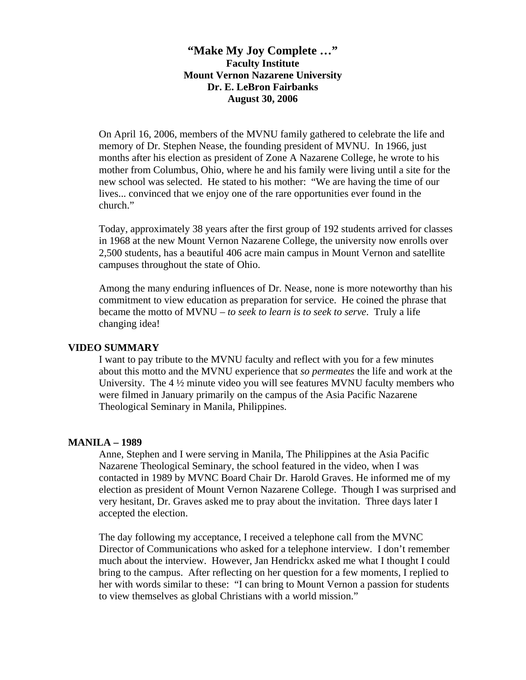**"Make My Joy Complete …" Faculty Institute Mount Vernon Nazarene University Dr. E. LeBron Fairbanks August 30, 2006** 

On April 16, 2006, members of the MVNU family gathered to celebrate the life and memory of Dr. Stephen Nease, the founding president of MVNU. In 1966, just months after his election as president of Zone A Nazarene College, he wrote to his mother from Columbus, Ohio, where he and his family were living until a site for the new school was selected. He stated to his mother: "We are having the time of our lives... convinced that we enjoy one of the rare opportunities ever found in the church."

Today, approximately 38 years after the first group of 192 students arrived for classes in 1968 at the new Mount Vernon Nazarene College, the university now enrolls over 2,500 students, has a beautiful 406 acre main campus in Mount Vernon and satellite campuses throughout the state of Ohio.

Among the many enduring influences of Dr. Nease, none is more noteworthy than his commitment to view education as preparation for service. He coined the phrase that became the motto of MVNU – *to seek to learn is to seek to serve*. Truly a life changing idea!

### **VIDEO SUMMARY**

I want to pay tribute to the MVNU faculty and reflect with you for a few minutes about this motto and the MVNU experience that *so permeates* the life and work at the University. The 4 ½ minute video you will see features MVNU faculty members who were filmed in January primarily on the campus of the Asia Pacific Nazarene Theological Seminary in Manila, Philippines.

#### **MANILA – 1989**

Anne, Stephen and I were serving in Manila, The Philippines at the Asia Pacific Nazarene Theological Seminary, the school featured in the video, when I was contacted in 1989 by MVNC Board Chair Dr. Harold Graves. He informed me of my election as president of Mount Vernon Nazarene College. Though I was surprised and very hesitant, Dr. Graves asked me to pray about the invitation. Three days later I accepted the election.

The day following my acceptance, I received a telephone call from the MVNC Director of Communications who asked for a telephone interview. I don't remember much about the interview. However, Jan Hendrickx asked me what I thought I could bring to the campus. After reflecting on her question for a few moments, I replied to her with words similar to these: "I can bring to Mount Vernon a passion for students to view themselves as global Christians with a world mission."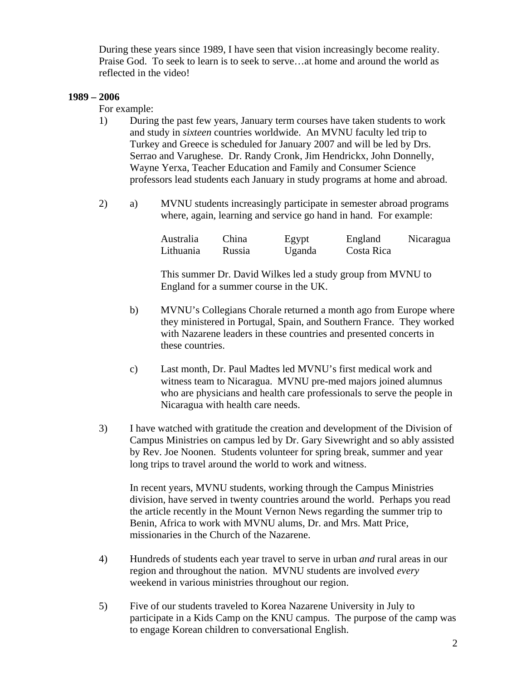During these years since 1989, I have seen that vision increasingly become reality. Praise God. To seek to learn is to seek to serve…at home and around the world as reflected in the video!

## **1989 – 2006**

For example:

- 1) During the past few years, January term courses have taken students to work and study in *sixteen* countries worldwide. An MVNU faculty led trip to Turkey and Greece is scheduled for January 2007 and will be led by Drs. Serrao and Varughese. Dr. Randy Cronk, Jim Hendrickx, John Donnelly, Wayne Yerxa, Teacher Education and Family and Consumer Science professors lead students each January in study programs at home and abroad.
- 2) a) MVNU students increasingly participate in semester abroad programs where, again, learning and service go hand in hand. For example:

| <b>Australia</b> | China  | Egypt  | England    | Nicaragua |
|------------------|--------|--------|------------|-----------|
| Lithuania        | Russia | Uganda | Costa Rica |           |

 This summer Dr. David Wilkes led a study group from MVNU to England for a summer course in the UK.

- b) MVNU's Collegians Chorale returned a month ago from Europe where they ministered in Portugal, Spain, and Southern France. They worked with Nazarene leaders in these countries and presented concerts in these countries.
- c) Last month, Dr. Paul Madtes led MVNU's first medical work and witness team to Nicaragua. MVNU pre-med majors joined alumnus who are physicians and health care professionals to serve the people in Nicaragua with health care needs.
- 3) I have watched with gratitude the creation and development of the Division of Campus Ministries on campus led by Dr. Gary Sivewright and so ably assisted by Rev. Joe Noonen. Students volunteer for spring break, summer and year long trips to travel around the world to work and witness.

In recent years, MVNU students, working through the Campus Ministries division, have served in twenty countries around the world. Perhaps you read the article recently in the Mount Vernon News regarding the summer trip to Benin, Africa to work with MVNU alums, Dr. and Mrs. Matt Price, missionaries in the Church of the Nazarene.

- 4) Hundreds of students each year travel to serve in urban *and* rural areas in our region and throughout the nation. MVNU students are involved *every*  weekend in various ministries throughout our region.
- 5) Five of our students traveled to Korea Nazarene University in July to participate in a Kids Camp on the KNU campus. The purpose of the camp was to engage Korean children to conversational English.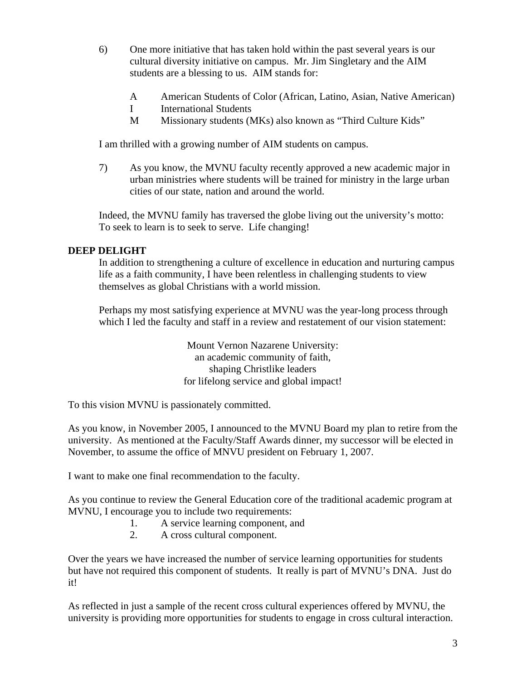- 6) One more initiative that has taken hold within the past several years is our cultural diversity initiative on campus. Mr. Jim Singletary and the AIM students are a blessing to us. AIM stands for:
	- A American Students of Color (African, Latino, Asian, Native American)
	- I International Students
	- M Missionary students (MKs) also known as "Third Culture Kids"

I am thrilled with a growing number of AIM students on campus.

7) As you know, the MVNU faculty recently approved a new academic major in urban ministries where students will be trained for ministry in the large urban cities of our state, nation and around the world.

Indeed, the MVNU family has traversed the globe living out the university's motto: To seek to learn is to seek to serve. Life changing!

## **DEEP DELIGHT**

In addition to strengthening a culture of excellence in education and nurturing campus life as a faith community, I have been relentless in challenging students to view themselves as global Christians with a world mission.

Perhaps my most satisfying experience at MVNU was the year-long process through which I led the faculty and staff in a review and restatement of our vision statement:

> Mount Vernon Nazarene University: an academic community of faith, shaping Christlike leaders for lifelong service and global impact!

To this vision MVNU is passionately committed.

As you know, in November 2005, I announced to the MVNU Board my plan to retire from the university. As mentioned at the Faculty/Staff Awards dinner, my successor will be elected in November, to assume the office of MNVU president on February 1, 2007.

I want to make one final recommendation to the faculty.

As you continue to review the General Education core of the traditional academic program at MVNU, I encourage you to include two requirements:

- 1. A service learning component, and
- 2. A cross cultural component.

Over the years we have increased the number of service learning opportunities for students but have not required this component of students. It really is part of MVNU's DNA. Just do it!

As reflected in just a sample of the recent cross cultural experiences offered by MVNU, the university is providing more opportunities for students to engage in cross cultural interaction.